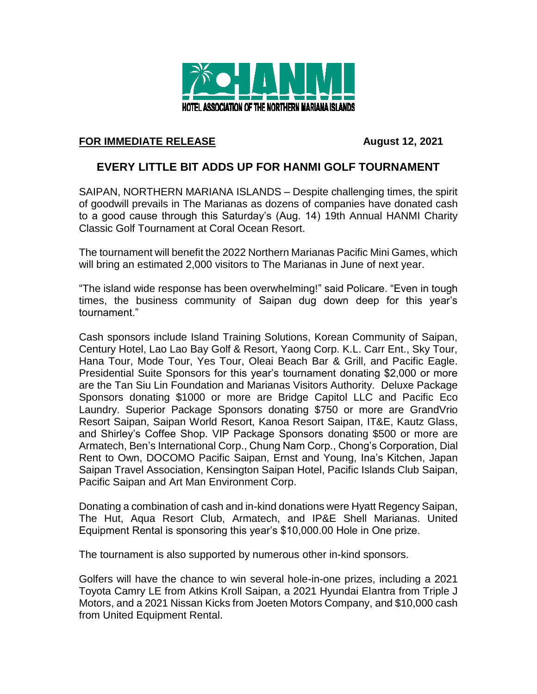

## **FOR IMMEDIATE RELEASE August 12, 2021**

## **EVERY LITTLE BIT ADDS UP FOR HANMI GOLF TOURNAMENT**

SAIPAN, NORTHERN MARIANA ISLANDS – Despite challenging times, the spirit of goodwill prevails in The Marianas as dozens of companies have donated cash to a good cause through this Saturday's (Aug. 14) 19th Annual HANMI Charity Classic Golf Tournament at Coral Ocean Resort.

The tournament will benefit the 2022 Northern Marianas Pacific Mini Games, which will bring an estimated 2,000 visitors to The Marianas in June of next year.

"The island wide response has been overwhelming!" said Policare. "Even in tough times, the business community of Saipan dug down deep for this year's tournament."

Cash sponsors include Island Training Solutions, Korean Community of Saipan, Century Hotel, Lao Lao Bay Golf & Resort, Yaong Corp. K.L. Carr Ent., Sky Tour, Hana Tour, Mode Tour, Yes Tour, Oleai Beach Bar & Grill, and Pacific Eagle. Presidential Suite Sponsors for this year's tournament donating \$2,000 or more are the Tan Siu Lin Foundation and Marianas Visitors Authority. Deluxe Package Sponsors donating \$1000 or more are Bridge Capitol LLC and Pacific Eco Laundry. Superior Package Sponsors donating \$750 or more are GrandVrio Resort Saipan, Saipan World Resort, Kanoa Resort Saipan, IT&E, Kautz Glass, and Shirley's Coffee Shop. VIP Package Sponsors donating \$500 or more are Armatech, Ben's International Corp., Chung Nam Corp., Chong's Corporation, Dial Rent to Own, DOCOMO Pacific Saipan, Ernst and Young, Ina's Kitchen, Japan Saipan Travel Association, Kensington Saipan Hotel, Pacific Islands Club Saipan, Pacific Saipan and Art Man Environment Corp.

Donating a combination of cash and in-kind donations were Hyatt Regency Saipan, The Hut, Aqua Resort Club, Armatech, and IP&E Shell Marianas. United Equipment Rental is sponsoring this year's \$10,000.00 Hole in One prize.

The tournament is also supported by numerous other in-kind sponsors.

Golfers will have the chance to win several hole-in-one prizes, including a 2021 Toyota Camry LE from Atkins Kroll Saipan, a 2021 Hyundai Elantra from Triple J Motors, and a 2021 Nissan Kicks from Joeten Motors Company, and \$10,000 cash from United Equipment Rental.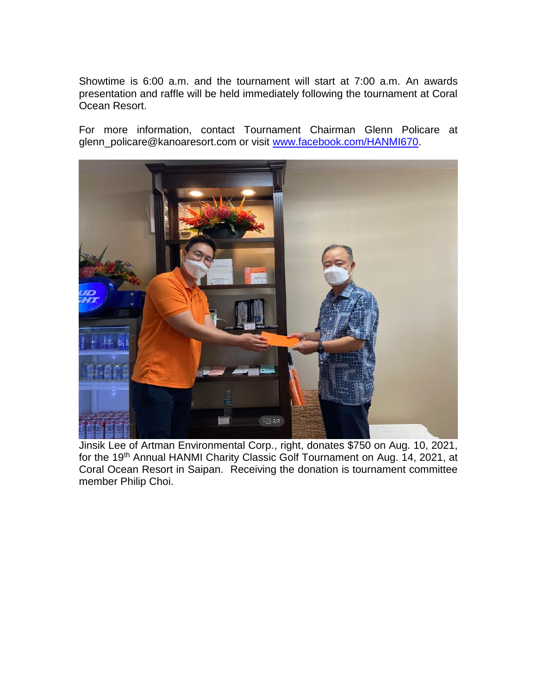Showtime is 6:00 a.m. and the tournament will start at 7:00 a.m. An awards presentation and raffle will be held immediately following the tournament at Coral Ocean Resort.

For more information, contact Tournament Chairman Glenn Policare at glenn\_policare@kanoaresort.com or visit [www.facebook.com/HANMI670.](http://www.facebook.com/HANMI670)



Jinsik Lee of Artman Environmental Corp., right, donates \$750 on Aug. 10, 2021, for the 19<sup>th</sup> Annual HANMI Charity Classic Golf Tournament on Aug. 14, 2021, at Coral Ocean Resort in Saipan. Receiving the donation is tournament committee member Philip Choi.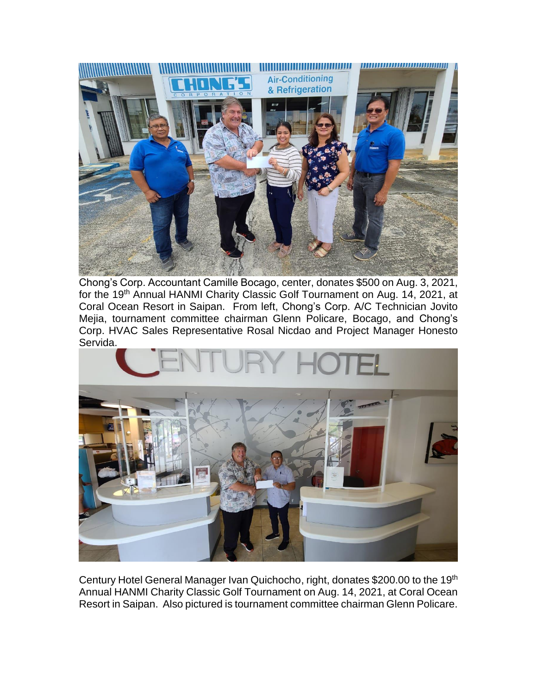

Chong's Corp. Accountant Camille Bocago, center, donates \$500 on Aug. 3, 2021, for the 19th Annual HANMI Charity Classic Golf Tournament on Aug. 14, 2021, at Coral Ocean Resort in Saipan. From left, Chong's Corp. A/C Technician Jovito Mejia, tournament committee chairman Glenn Policare, Bocago, and Chong's Corp. HVAC Sales Representative Rosal Nicdao and Project Manager Honesto Servida.



Century Hotel General Manager Ivan Quichocho, right, donates \$200.00 to the 19th Annual HANMI Charity Classic Golf Tournament on Aug. 14, 2021, at Coral Ocean Resort in Saipan. Also pictured is tournament committee chairman Glenn Policare.